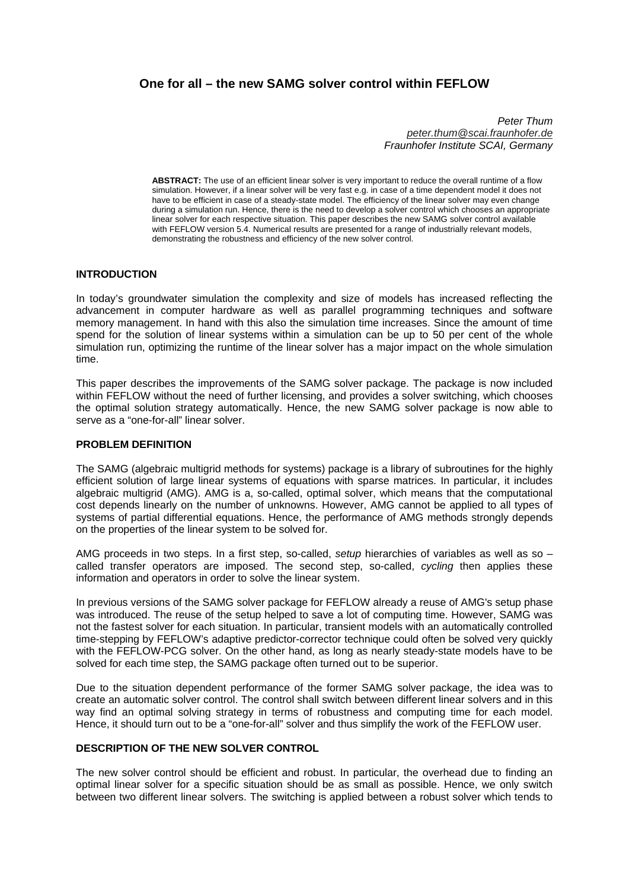# **One for all – the new SAMG solver control within FEFLOW**

*Peter Thum peter.thum@scai.fraunhofer.de Fraunhofer Institute SCAI, Germany* 

**ABSTRACT:** The use of an efficient linear solver is very important to reduce the overall runtime of a flow simulation. However, if a linear solver will be very fast e.g. in case of a time dependent model it does not have to be efficient in case of a steady-state model. The efficiency of the linear solver may even change during a simulation run. Hence, there is the need to develop a solver control which chooses an appropriate linear solver for each respective situation. This paper describes the new SAMG solver control available with FEFLOW version 5.4. Numerical results are presented for a range of industrially relevant models, demonstrating the robustness and efficiency of the new solver control.

### **INTRODUCTION**

In today's groundwater simulation the complexity and size of models has increased reflecting the advancement in computer hardware as well as parallel programming techniques and software memory management. In hand with this also the simulation time increases. Since the amount of time spend for the solution of linear systems within a simulation can be up to 50 per cent of the whole simulation run, optimizing the runtime of the linear solver has a major impact on the whole simulation time.

This paper describes the improvements of the SAMG solver package. The package is now included within FEFLOW without the need of further licensing, and provides a solver switching, which chooses the optimal solution strategy automatically. Hence, the new SAMG solver package is now able to serve as a "one-for-all" linear solver.

#### **PROBLEM DEFINITION**

The SAMG (algebraic multigrid methods for systems) package is a library of subroutines for the highly efficient solution of large linear systems of equations with sparse matrices. In particular, it includes algebraic multigrid (AMG). AMG is a, so-called, optimal solver, which means that the computational cost depends linearly on the number of unknowns. However, AMG cannot be applied to all types of systems of partial differential equations. Hence, the performance of AMG methods strongly depends on the properties of the linear system to be solved for.

AMG proceeds in two steps. In a first step, so-called, *setup* hierarchies of variables as well as so – called transfer operators are imposed. The second step, so-called, *cycling* then applies these information and operators in order to solve the linear system.

In previous versions of the SAMG solver package for FEFLOW already a reuse of AMG's setup phase was introduced. The reuse of the setup helped to save a lot of computing time. However, SAMG was not the fastest solver for each situation. In particular, transient models with an automatically controlled time-stepping by FEFLOW's adaptive predictor-corrector technique could often be solved very quickly with the FEFLOW-PCG solver. On the other hand, as long as nearly steady-state models have to be solved for each time step, the SAMG package often turned out to be superior.

Due to the situation dependent performance of the former SAMG solver package, the idea was to create an automatic solver control. The control shall switch between different linear solvers and in this way find an optimal solving strategy in terms of robustness and computing time for each model. Hence, it should turn out to be a "one-for-all" solver and thus simplify the work of the FEFLOW user.

#### **DESCRIPTION OF THE NEW SOLVER CONTROL**

The new solver control should be efficient and robust. In particular, the overhead due to finding an optimal linear solver for a specific situation should be as small as possible. Hence, we only switch between two different linear solvers. The switching is applied between a robust solver which tends to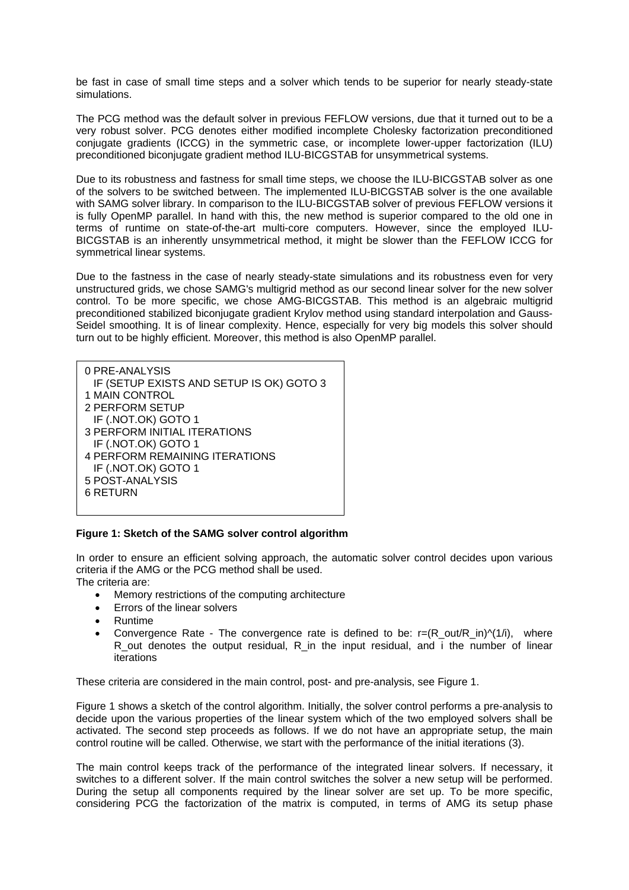be fast in case of small time steps and a solver which tends to be superior for nearly steady-state simulations.

The PCG method was the default solver in previous FEFLOW versions, due that it turned out to be a very robust solver. PCG denotes either modified incomplete Cholesky factorization preconditioned conjugate gradients (ICCG) in the symmetric case, or incomplete lower-upper factorization (ILU) preconditioned biconjugate gradient method ILU-BICGSTAB for unsymmetrical systems.

Due to its robustness and fastness for small time steps, we choose the ILU-BICGSTAB solver as one of the solvers to be switched between. The implemented ILU-BICGSTAB solver is the one available with SAMG solver library. In comparison to the ILU-BICGSTAB solver of previous FEFLOW versions it is fully OpenMP parallel. In hand with this, the new method is superior compared to the old one in terms of runtime on state-of-the-art multi-core computers. However, since the employed ILU-BICGSTAB is an inherently unsymmetrical method, it might be slower than the FEFLOW ICCG for symmetrical linear systems.

Due to the fastness in the case of nearly steady-state simulations and its robustness even for very unstructured grids, we chose SAMG's multigrid method as our second linear solver for the new solver control. To be more specific, we chose AMG-BICGSTAB. This method is an algebraic multigrid preconditioned stabilized biconjugate gradient Krylov method using standard interpolation and Gauss-Seidel smoothing. It is of linear complexity. Hence, especially for very big models this solver should turn out to be highly efficient. Moreover, this method is also OpenMP parallel.

| 0 PRE-ANALYSIS<br>IF (SETUP EXISTS AND SETUP IS OK) GOTO 3<br>1 MAIN CONTROL<br>2 PERFORM SETUP<br>IF (.NOT.OK) GOTO 1<br><b>3 PERFORM INITIAL ITERATIONS</b><br>IF (.NOT.OK) GOTO 1<br><b>4 PERFORM REMAINING ITERATIONS</b><br>IF (.NOT.OK) GOTO 1<br>5 POST-ANALYSIS |
|-------------------------------------------------------------------------------------------------------------------------------------------------------------------------------------------------------------------------------------------------------------------------|
| <b>6 RETURN</b>                                                                                                                                                                                                                                                         |
|                                                                                                                                                                                                                                                                         |

#### **Figure 1: Sketch of the SAMG solver control algorithm**

In order to ensure an efficient solving approach, the automatic solver control decides upon various criteria if the AMG or the PCG method shall be used. The criteria are:

- Memory restrictions of the computing architecture
- Errors of the linear solvers
- Runtime
- Convergence Rate The convergence rate is defined to be:  $r=(R\text{ out/R}\text{ in})^{\wedge}(1/i)$ , where R out denotes the output residual, R in the input residual, and i the number of linear iterations

These criteria are considered in the main control, post- and pre-analysis, see Figure 1.

Figure 1 shows a sketch of the control algorithm. Initially, the solver control performs a pre-analysis to decide upon the various properties of the linear system which of the two employed solvers shall be activated. The second step proceeds as follows. If we do not have an appropriate setup, the main control routine will be called. Otherwise, we start with the performance of the initial iterations (3).

The main control keeps track of the performance of the integrated linear solvers. If necessary, it switches to a different solver. If the main control switches the solver a new setup will be performed. During the setup all components required by the linear solver are set up. To be more specific, considering PCG the factorization of the matrix is computed, in terms of AMG its setup phase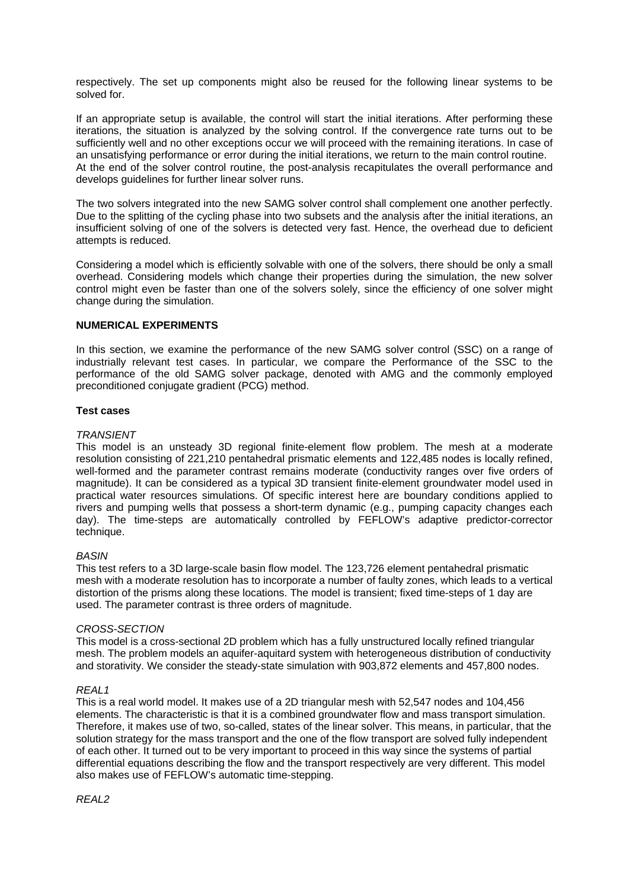respectively. The set up components might also be reused for the following linear systems to be solved for.

If an appropriate setup is available, the control will start the initial iterations. After performing these iterations, the situation is analyzed by the solving control. If the convergence rate turns out to be sufficiently well and no other exceptions occur we will proceed with the remaining iterations. In case of an unsatisfying performance or error during the initial iterations, we return to the main control routine. At the end of the solver control routine, the post-analysis recapitulates the overall performance and develops guidelines for further linear solver runs.

The two solvers integrated into the new SAMG solver control shall complement one another perfectly. Due to the splitting of the cycling phase into two subsets and the analysis after the initial iterations, an insufficient solving of one of the solvers is detected very fast. Hence, the overhead due to deficient attempts is reduced.

Considering a model which is efficiently solvable with one of the solvers, there should be only a small overhead. Considering models which change their properties during the simulation, the new solver control might even be faster than one of the solvers solely, since the efficiency of one solver might change during the simulation.

### **NUMERICAL EXPERIMENTS**

In this section, we examine the performance of the new SAMG solver control (SSC) on a range of industrially relevant test cases. In particular, we compare the Performance of the SSC to the performance of the old SAMG solver package, denoted with AMG and the commonly employed preconditioned conjugate gradient (PCG) method.

### **Test cases**

### *TRANSIENT*

This model is an unsteady 3D regional finite-element flow problem. The mesh at a moderate resolution consisting of 221,210 pentahedral prismatic elements and 122,485 nodes is locally refined, well-formed and the parameter contrast remains moderate (conductivity ranges over five orders of magnitude). It can be considered as a typical 3D transient finite-element groundwater model used in practical water resources simulations. Of specific interest here are boundary conditions applied to rivers and pumping wells that possess a short-term dynamic (e.g., pumping capacity changes each day). The time-steps are automatically controlled by FEFLOW's adaptive predictor-corrector technique.

#### *BASIN*

This test refers to a 3D large-scale basin flow model. The 123,726 element pentahedral prismatic mesh with a moderate resolution has to incorporate a number of faulty zones, which leads to a vertical distortion of the prisms along these locations. The model is transient; fixed time-steps of 1 day are used. The parameter contrast is three orders of magnitude.

#### *CROSS-SECTION*

This model is a cross-sectional 2D problem which has a fully unstructured locally refined triangular mesh. The problem models an aquifer-aquitard system with heterogeneous distribution of conductivity and storativity. We consider the steady-state simulation with 903,872 elements and 457,800 nodes.

#### *REAL1*

This is a real world model. It makes use of a 2D triangular mesh with 52,547 nodes and 104,456 elements. The characteristic is that it is a combined groundwater flow and mass transport simulation. Therefore, it makes use of two, so-called, states of the linear solver. This means, in particular, that the solution strategy for the mass transport and the one of the flow transport are solved fully independent of each other. It turned out to be very important to proceed in this way since the systems of partial differential equations describing the flow and the transport respectively are very different. This model also makes use of FEFLOW's automatic time-stepping.

*REAL2*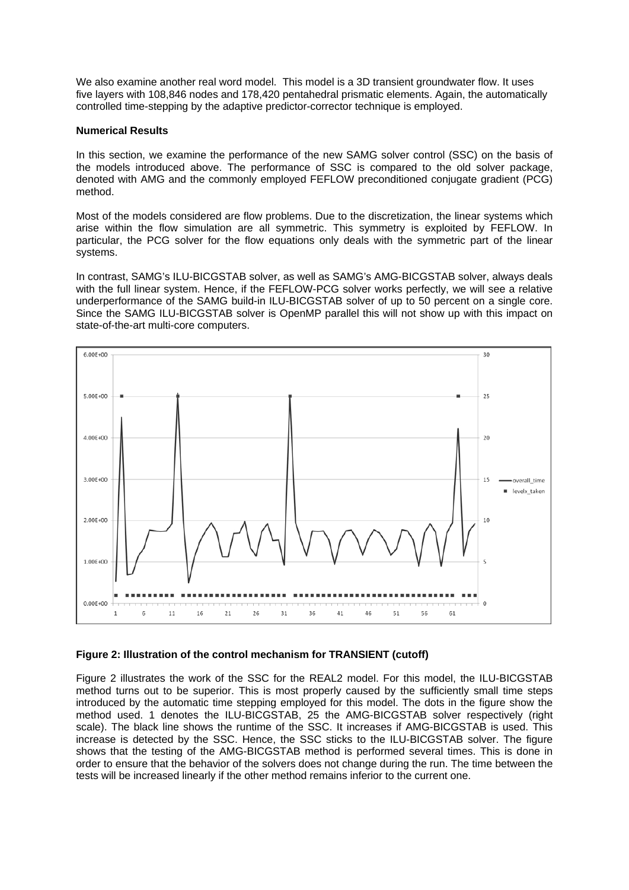We also examine another real word model. This model is a 3D transient groundwater flow. It uses five layers with 108,846 nodes and 178,420 pentahedral prismatic elements. Again, the automatically controlled time-stepping by the adaptive predictor-corrector technique is employed.

### **Numerical Results**

In this section, we examine the performance of the new SAMG solver control (SSC) on the basis of the models introduced above. The performance of SSC is compared to the old solver package, denoted with AMG and the commonly employed FEFLOW preconditioned conjugate gradient (PCG) method.

Most of the models considered are flow problems. Due to the discretization, the linear systems which arise within the flow simulation are all symmetric. This symmetry is exploited by FEFLOW. In particular, the PCG solver for the flow equations only deals with the symmetric part of the linear systems.

In contrast, SAMG's ILU-BICGSTAB solver, as well as SAMG's AMG-BICGSTAB solver, always deals with the full linear system. Hence, if the FEFLOW-PCG solver works perfectly, we will see a relative underperformance of the SAMG build-in ILU-BICGSTAB solver of up to 50 percent on a single core. Since the SAMG ILU-BICGSTAB solver is OpenMP parallel this will not show up with this impact on state-of-the-art multi-core computers.



## **Figure 2: Illustration of the control mechanism for TRANSIENT (cutoff)**

Figure 2 illustrates the work of the SSC for the REAL2 model. For this model, the ILU-BICGSTAB method turns out to be superior. This is most properly caused by the sufficiently small time steps introduced by the automatic time stepping employed for this model. The dots in the figure show the method used. 1 denotes the ILU-BICGSTAB, 25 the AMG-BICGSTAB solver respectively (right scale). The black line shows the runtime of the SSC. It increases if AMG-BICGSTAB is used. This increase is detected by the SSC. Hence, the SSC sticks to the ILU-BICGSTAB solver. The figure shows that the testing of the AMG-BICGSTAB method is performed several times. This is done in order to ensure that the behavior of the solvers does not change during the run. The time between the tests will be increased linearly if the other method remains inferior to the current one.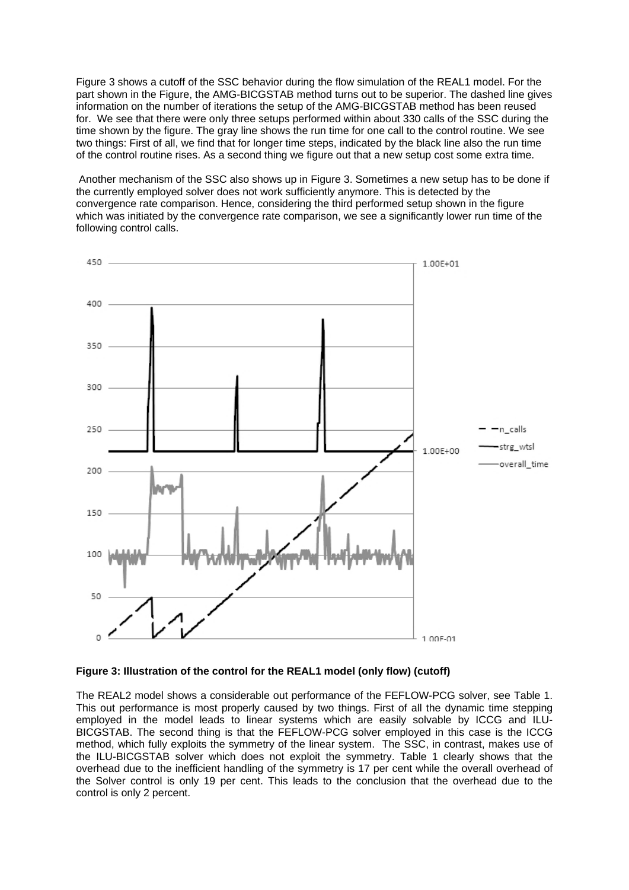Figure 3 shows a cutoff of the SSC behavior during the flow simulation of the REAL1 model. For the part shown in the Figure, the AMG-BICGSTAB method turns out to be superior. The dashed line gives information on the number of iterations the setup of the AMG-BICGSTAB method has been reused for. We see that there were only three setups performed within about 330 calls of the SSC during the time shown by the figure. The gray line shows the run time for one call to the control routine. We see two things: First of all, we find that for longer time steps, indicated by the black line also the run time of the control routine rises. As a second thing we figure out that a new setup cost some extra time.

 Another mechanism of the SSC also shows up in Figure 3. Sometimes a new setup has to be done if the currently employed solver does not work sufficiently anymore. This is detected by the convergence rate comparison. Hence, considering the third performed setup shown in the figure which was initiated by the convergence rate comparison, we see a significantly lower run time of the following control calls.



#### **Figure 3: Illustration of the control for the REAL1 model (only flow) (cutoff)**

The REAL2 model shows a considerable out performance of the FEFLOW-PCG solver, see Table 1. This out performance is most properly caused by two things. First of all the dynamic time stepping employed in the model leads to linear systems which are easily solvable by ICCG and ILU-BICGSTAB. The second thing is that the FEFLOW-PCG solver employed in this case is the ICCG method, which fully exploits the symmetry of the linear system. The SSC, in contrast, makes use of the ILU-BICGSTAB solver which does not exploit the symmetry. Table 1 clearly shows that the overhead due to the inefficient handling of the symmetry is 17 per cent while the overall overhead of the Solver control is only 19 per cent. This leads to the conclusion that the overhead due to the control is only 2 percent.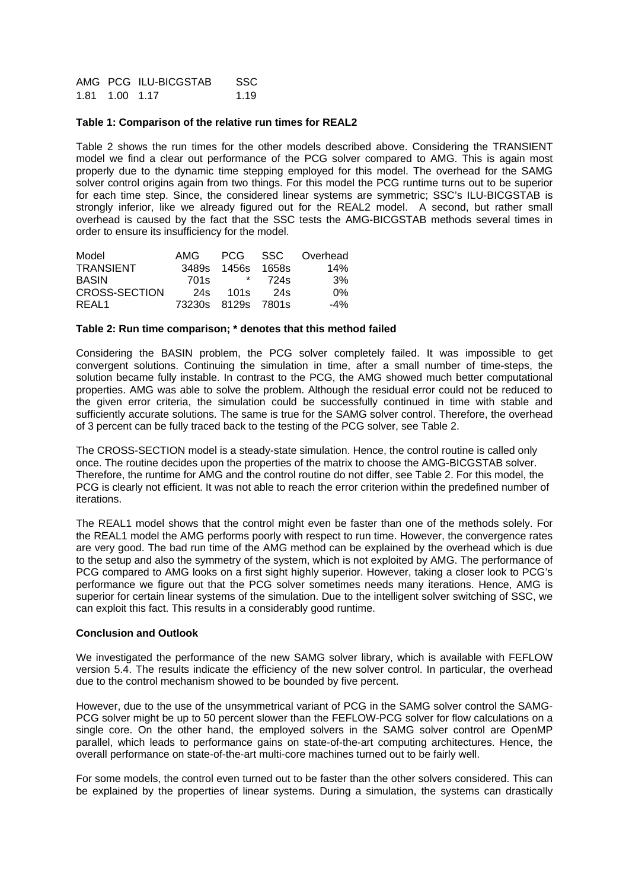AMG PCG ILU-BICGSTAB SSC 1.81 1.00 1.17 1.19

### **Table 1: Comparison of the relative run times for REAL2**

Table 2 shows the run times for the other models described above. Considering the TRANSIENT model we find a clear out performance of the PCG solver compared to AMG. This is again most properly due to the dynamic time stepping employed for this model. The overhead for the SAMG solver control origins again from two things. For this model the PCG runtime turns out to be superior for each time step. Since, the considered linear systems are symmetric; SSC's ILU-BICGSTAB is strongly inferior, like we already figured out for the REAL2 model. A second, but rather small overhead is caused by the fact that the SSC tests the AMG-BICGSTAB methods several times in order to ensure its insufficiency for the model.

| Model            | AMG                | PCG –        | - SSC | Overhead |
|------------------|--------------------|--------------|-------|----------|
| <b>TRANSIENT</b> |                    | 3489s 1456s  | 1658s | 14%      |
| <b>BASIN</b>     | 701s               | $\mathbf{r}$ | 724s  | .3%      |
| CROSS-SECTION    | 24s                | 101s         | 24s   | 0%       |
| REAL1            | 73230s 8129s 7801s |              |       | $-4\%$   |

#### **Table 2: Run time comparison; \* denotes that this method failed**

Considering the BASIN problem, the PCG solver completely failed. It was impossible to get convergent solutions. Continuing the simulation in time, after a small number of time-steps, the solution became fully instable. In contrast to the PCG, the AMG showed much better computational properties. AMG was able to solve the problem. Although the residual error could not be reduced to the given error criteria, the simulation could be successfully continued in time with stable and sufficiently accurate solutions. The same is true for the SAMG solver control. Therefore, the overhead of 3 percent can be fully traced back to the testing of the PCG solver, see Table 2.

The CROSS-SECTION model is a steady-state simulation. Hence, the control routine is called only once. The routine decides upon the properties of the matrix to choose the AMG-BICGSTAB solver. Therefore, the runtime for AMG and the control routine do not differ, see Table 2. For this model, the PCG is clearly not efficient. It was not able to reach the error criterion within the predefined number of iterations.

The REAL1 model shows that the control might even be faster than one of the methods solely. For the REAL1 model the AMG performs poorly with respect to run time. However, the convergence rates are very good. The bad run time of the AMG method can be explained by the overhead which is due to the setup and also the symmetry of the system, which is not exploited by AMG. The performance of PCG compared to AMG looks on a first sight highly superior. However, taking a closer look to PCG's performance we figure out that the PCG solver sometimes needs many iterations. Hence, AMG is superior for certain linear systems of the simulation. Due to the intelligent solver switching of SSC, we can exploit this fact. This results in a considerably good runtime.

#### **Conclusion and Outlook**

We investigated the performance of the new SAMG solver library, which is available with FEFLOW version 5.4. The results indicate the efficiency of the new solver control. In particular, the overhead due to the control mechanism showed to be bounded by five percent.

However, due to the use of the unsymmetrical variant of PCG in the SAMG solver control the SAMG-PCG solver might be up to 50 percent slower than the FEFLOW-PCG solver for flow calculations on a single core. On the other hand, the employed solvers in the SAMG solver control are OpenMP parallel, which leads to performance gains on state-of-the-art computing architectures. Hence, the overall performance on state-of-the-art multi-core machines turned out to be fairly well.

For some models, the control even turned out to be faster than the other solvers considered. This can be explained by the properties of linear systems. During a simulation, the systems can drastically